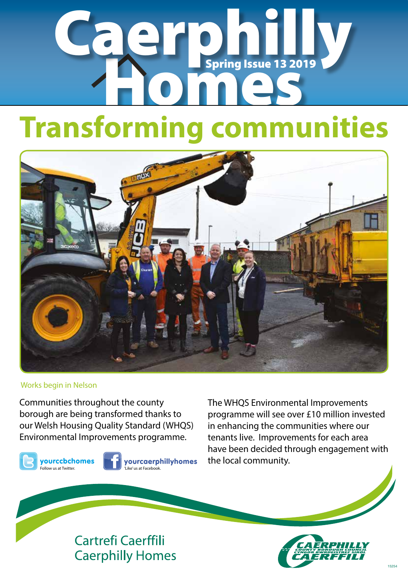# Caerphilly Spring Issue 13 2019

## **Transforming communities**



#### Works begin in Nelson

Communities throughout the county borough are being transformed thanks to our Welsh Housing Quality Standard (WHQS) Environmental Improvements programme.

yourccbchomes Follow us at Twitter.



yourcaerphillyhomes 'Like' us at Facebook.

The WHQS Environmental Improvements programme will see over £10 million invested in enhancing the communities where our tenants live. Improvements for each area have been decided through engagement with the local community.

### **Cartrefi Caerffili Caerphilly Homes**

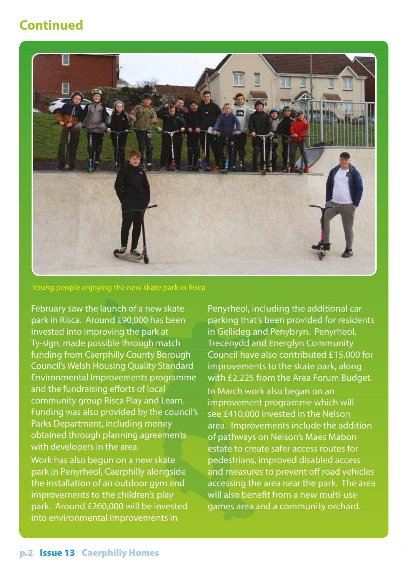### **Continued**



Young people enjoying the new skate park in Risca

February saw the launch of a new skate park in Risca. Around £90,000 has been invested into improving the park at Ty-sign, made possible through match funding from Caerphilly County Borough Council's Welsh Housing Quality Standard Environmental Improvements programme and the fundraising efforts of local community group Risca Play and Learn. Funding was also provided by the council's Parks Department, including money obtained through planning agreements with developers in the area.

Work has also begun on a new skate park in Penyrheol, Caerphilly alongside the installation of an outdoor gym and improvements to the children's play park. Around £260,000 will be invested into environmental improvements in

Penyrheol, including the additional car parking that's been provided for residents in Gellideg and Penybryn. Penyrheol, Trecenydd and Energlyn Community Council have also contributed £15,000 for improvements to the skate park, along with £2,225 from the Area Forum Budget. In March work also began on an improvement programme which will see £410,000 invested in the Nelson area. Improvements include the addition of pathways on Nelson's Maes Mabon estate to create safer access routes for pedestrians, improved disabled access and measures to prevent off road vehicles accessing the area near the park. The area will also benefit from a new multi-use games area and a community orchard.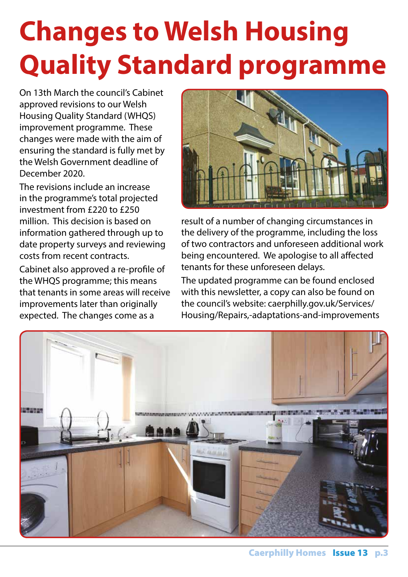## **Changes to Welsh Housing Quality Standard programme**

On 13th March the council's Cabinet approved revisions to our Welsh Housing Quality Standard (WHQS) improvement programme. These changes were made with the aim of ensuring the standard is fully met by the Welsh Government deadline of December 2020.

The revisions include an increase in the programme's total projected investment from £220 to £250 million. This decision is based on information gathered through up to date property surveys and reviewing costs from recent contracts.

Cabinet also approved a re-profile of the WHQS programme; this means that tenants in some areas will receive improvements later than originally expected. The changes come as a



result of a number of changing circumstances in the delivery of the programme, including the loss of two contractors and unforeseen additional work being encountered. We apologise to all affected tenants for these unforeseen delays.

The updated programme can be found enclosed with this newsletter, a copy can also be found on the council's website: caerphilly.gov.uk/Services/ Housing/Repairs,-adaptations-and-improvements

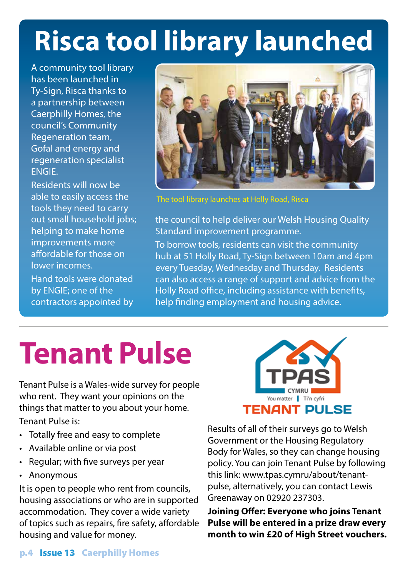## **Risca tool library launched**

A community tool library has been launched in Ty-Sign, Risca thanks to a partnership between Caerphilly Homes, the council's Community Regeneration team, Gofal and energy and regeneration specialist ENGIE.

Residents will now be able to easily access the tools they need to carry out small household jobs; helping to make home improvements more affordable for those on lower incomes. Hand tools were donated by ENGIE; one of the contractors appointed by



The tool library launches at Holly Road, Risca

the council to help deliver our Welsh Housing Quality Standard improvement programme. To borrow tools, residents can visit the community hub at 51 Holly Road, Ty-Sign between 10am and 4pm every Tuesday, Wednesday and Thursday. Residents can also access a range of support and advice from the Holly Road office, including assistance with benefits, help finding employment and housing advice.

## **Tenant Pulse**

Tenant Pulse is a Wales-wide survey for people who rent. They want your opinions on the things that matter to you about your home. Tenant Pulse is:

- Totally free and easy to complete
- Available online or via post
- Regular; with five surveys per year
- Anonymous

It is open to people who rent from councils, housing associations or who are in supported accommodation. They cover a wide variety of topics such as repairs, fire safety, affordable housing and value for money.



Results of all of their surveys go to Welsh Government or the Housing Regulatory Body for Wales, so they can change housing policy. You can join Tenant Pulse by following this link: www.tpas.cymru/about/tenantpulse, alternatively, you can contact Lewis Greenaway on 02920 237303.

**Joining Offer: Everyone who joins Tenant Pulse will be entered in a prize draw every month to win £20 of High Street vouchers.**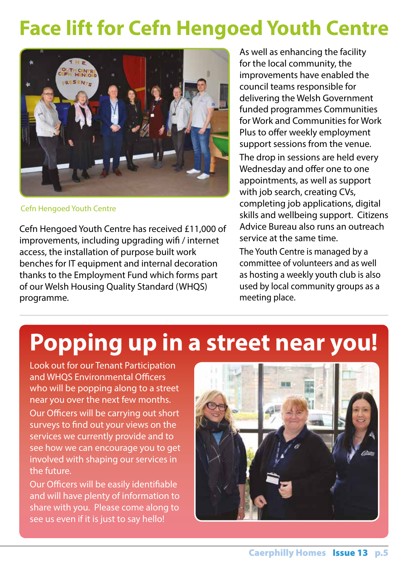### **Face lift for Cefn Hengoed Youth Centre**



Cefn Hengoed Youth Centre

Cefn Hengoed Youth Centre has received £11,000 of improvements, including upgrading wifi / internet access, the installation of purpose built work benches for IT equipment and internal decoration thanks to the Employment Fund which forms part of our Welsh Housing Quality Standard (WHQS) programme.

As well as enhancing the facility for the local community, the improvements have enabled the council teams responsible for delivering the Welsh Government funded programmes Communities for Work and Communities for Work Plus to offer weekly employment support sessions from the venue. The drop in sessions are held every Wednesday and offer one to one appointments, as well as support with job search, creating CVs, completing job applications, digital skills and wellbeing support. Citizens Advice Bureau also runs an outreach service at the same time.

The Youth Centre is managed by a committee of volunteers and as well as hosting a weekly youth club is also used by local community groups as a meeting place.

### **Popping up in a street near you!**

Look out for our Tenant Participation and WHQS Environmental Officers who will be popping along to a street near you over the next few months. Our Officers will be carrying out short surveys to find out your views on the services we currently provide and to see how we can encourage you to get involved with shaping our services in the future.

Our Officers will be easily identifiable and will have plenty of information to share with you. Please come along to see us even if it is just to say hello!

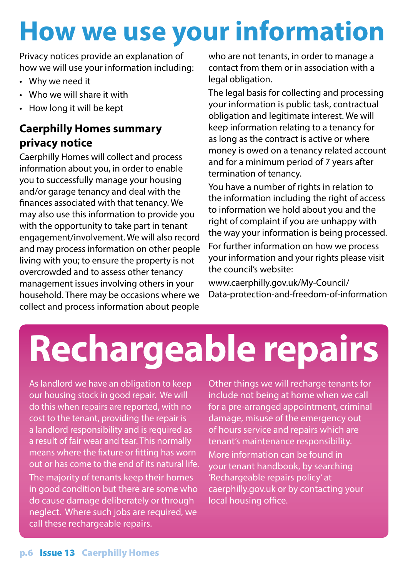## **How we use your information**

Privacy notices provide an explanation of how we will use your information including:

- Why we need it
- Who we will share it with
- How long it will be kept

### **Caerphilly Homes summary privacy notice**

Caerphilly Homes will collect and process information about you, in order to enable you to successfully manage your housing and/or garage tenancy and deal with the finances associated with that tenancy. We may also use this information to provide you with the opportunity to take part in tenant engagement/involvement. We will also record and may process information on other people living with you; to ensure the property is not overcrowded and to assess other tenancy management issues involving others in your household. There may be occasions where we collect and process information about people

who are not tenants, in order to manage a contact from them or in association with a legal obligation.

The legal basis for collecting and processing your information is public task, contractual obligation and legitimate interest. We will keep information relating to a tenancy for as long as the contract is active or where money is owed on a tenancy related account and for a minimum period of 7 years after termination of tenancy.

You have a number of rights in relation to the information including the right of access to information we hold about you and the right of complaint if you are unhappy with the way your information is being processed. For further information on how we process your information and your rights please visit the council's website:

www.caerphilly.gov.uk/My-Council/ Data-protection-and-freedom-of-information

## **Rechargeable repairs**

As landlord we have an obligation to keep our housing stock in good repair. We will do this when repairs are reported, with no cost to the tenant, providing the repair is a landlord responsibility and is required as a result of fair wear and tear. This normally means where the fixture or fitting has worn out or has come to the end of its natural life. The majority of tenants keep their homes in good condition but there are some who do cause damage deliberately or through neglect. Where such jobs are required, we call these rechargeable repairs.

Other things we will recharge tenants for include not being at home when we call for a pre-arranged appointment, criminal damage, misuse of the emergency out of hours service and repairs which are tenant's maintenance responsibility. More information can be found in your tenant handbook, by searching 'Rechargeable repairs policy' at caerphilly.gov.uk or by contacting your local housing office.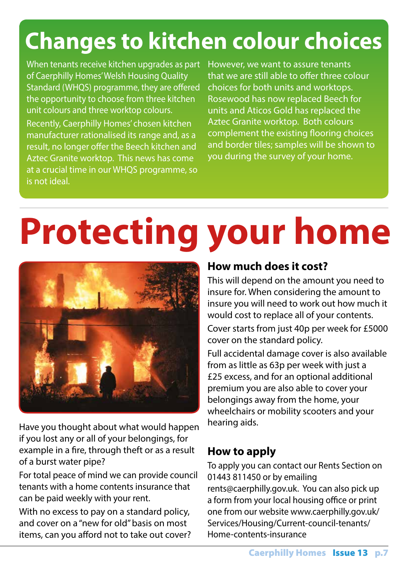## **Changes to kitchen colour choices**

When tenants receive kitchen upgrades as part of Caerphilly Homes' Welsh Housing Quality Standard (WHQS) programme, they are offered the opportunity to choose from three kitchen unit colours and three worktop colours. Recently, Caerphilly Homes' chosen kitchen

manufacturer rationalised its range and, as a result, no longer offer the Beech kitchen and Aztec Granite worktop. This news has come at a crucial time in our WHQS programme, so is not ideal.

However, we want to assure tenants that we are still able to offer three colour choices for both units and worktops. Rosewood has now replaced Beech for units and Aticos Gold has replaced the Aztec Granite worktop. Both colours complement the existing flooring choices and border tiles; samples will be shown to you during the survey of your home.

## **Protecting your home**



Have you thought about what would happen if you lost any or all of your belongings, for example in a fire, through theft or as a result of a burst water pipe?

For total peace of mind we can provide council tenants with a home contents insurance that can be paid weekly with your rent.

With no excess to pay on a standard policy, and cover on a "new for old" basis on most items, can you afford not to take out cover?

### **How much does it cost?**

This will depend on the amount you need to insure for. When considering the amount to insure you will need to work out how much it would cost to replace all of your contents.

Cover starts from just 40p per week for £5000 cover on the standard policy.

Full accidental damage cover is also available from as little as 63p per week with just a £25 excess, and for an optional additional premium you are also able to cover your belongings away from the home, your wheelchairs or mobility scooters and your hearing aids.

#### **How to apply**

To apply you can contact our Rents Section on 01443 811450 or by emailing rents@caerphilly.gov.uk. You can also pick up a form from your local housing office or print one from our website www.caerphilly.gov.uk/ Services/Housing/Current-council-tenants/ Home-contents-insurance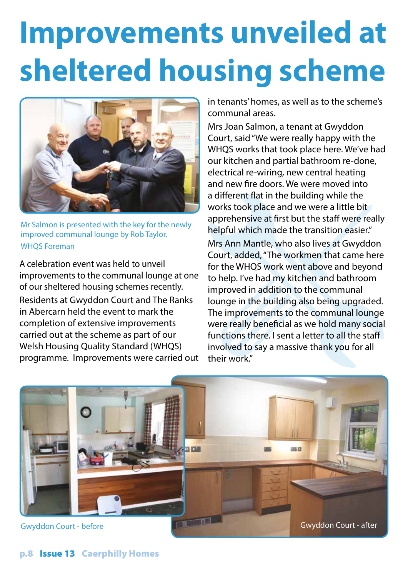## **Improvements unveiled at sheltered housing scheme**



Mr Salmon is presented with the key for the newly improved communal lounge by Rob Taylor, WHQS Foreman

A celebration event was held to unveil improvements to the communal lounge at one of our sheltered housing schemes recently. Residents at Gwyddon Court and The Ranks in Abercarn held the event to mark the completion of extensive improvements carried out at the scheme as part of our Welsh Housing Quality Standard (WHQS) programme. Improvements were carried out in tenants' homes, as well as to the scheme's communal areas.

Mrs Joan Salmon, a tenant at Gwyddon Court, said "We were really happy with the WHQS works that took place here. We've had our kitchen and partial bathroom re-done, electrical re-wiring, new central heating and new fire doors. We were moved into a different flat in the building while the works took place and we were a little bit apprehensive at first but the staff were really helpful which made the transition easier." Mrs Ann Mantle, who also lives at Gwyddon Court, added, "The workmen that came here for the WHQS work went above and beyond to help. I've had my kitchen and bathroom improved in addition to the communal lounge in the building also being upgraded. The improvements to the communal lounge were really beneficial as we hold many social functions there. I sent a letter to all the staff involved to say a massive thank you for all their work."

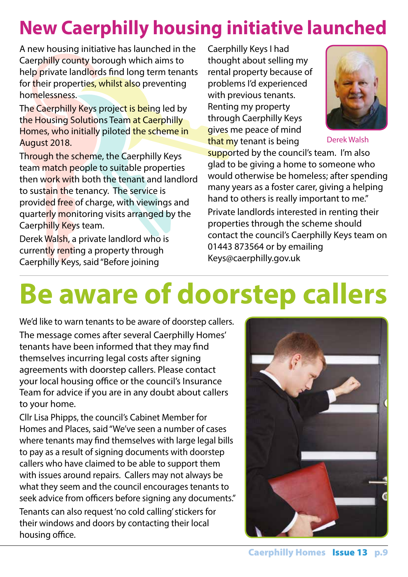## **New Caerphilly housing initiative launched**

A new housing initiative has launched in the Caerphilly county borough which aims to help private landlords find long term tenants for their properties, whilst also preventing homelessness.

The Caerphilly Keys project is being led by the Housing Solutions Team at Caerphilly Homes, who initially piloted the scheme in August 2018.

Through the scheme, the Caerphilly Keys team match people to suitable properties then work with both the tenant and landlord to sustain the tenancy. The service is provided free of charge, with viewings and quarterly monitoring visits arranged by the Caerphilly Keys team.

Derek Walsh, a private landlord who is currently renting a property through Caerphilly Keys, said "Before joining

Caerphilly Keys I had thought about selling my rental property because of problems I'd experienced with previous tenants. Renting my property through Caerphilly Keys gives me peace of mind that my tenant is being



Derek Walsh

supported by the council's team. I'm also glad to be giving a home to someone who would otherwise be homeless; after spending many years as a foster carer, giving a helping hand to others is really important to me." Private landlords interested in renting their properties through the scheme should contact the council's Caerphilly Keys team on 01443 873564 or by emailing Keys@caerphilly.gov.uk

## **Be aware of doorstep callers**

We'd like to warn tenants to be aware of doorstep callers. The message comes after several Caerphilly Homes' tenants have been informed that they may find themselves incurring legal costs after signing agreements with doorstep callers. Please contact your local housing office or the council's Insurance Team for advice if you are in any doubt about callers to your home.

Cllr Lisa Phipps, the council's Cabinet Member for Homes and Places, said "We've seen a number of cases where tenants may find themselves with large legal bills to pay as a result of signing documents with doorstep callers who have claimed to be able to support them with issues around repairs. Callers may not always be what they seem and the council encourages tenants to seek advice from officers before signing any documents."

Tenants can also request 'no cold calling' stickers for their windows and doors by contacting their local housing office.